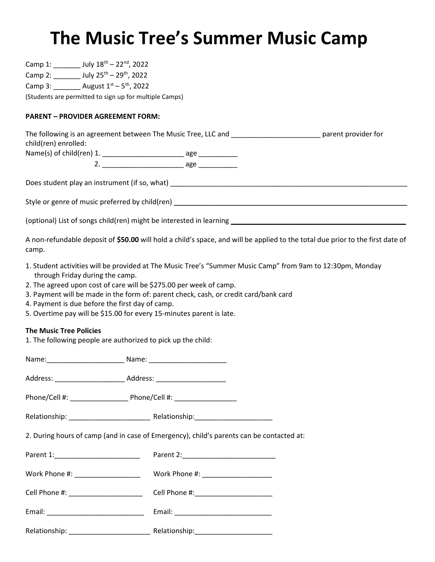## The Music Tree's Summer Music Camp

| Camp 1: $\frac{1}{2}$ July $18^{\text{th}} - 22^{\text{nd}}$ , 2022                                                                                                                                                                                                                                                                                        |                                                                                                                                |
|------------------------------------------------------------------------------------------------------------------------------------------------------------------------------------------------------------------------------------------------------------------------------------------------------------------------------------------------------------|--------------------------------------------------------------------------------------------------------------------------------|
| Camp 2: ________ July 25 <sup>th</sup> - 29 <sup>th</sup> , 2022                                                                                                                                                                                                                                                                                           |                                                                                                                                |
| Camp 3: August $1^{st} - 5^{th}$ , 2022                                                                                                                                                                                                                                                                                                                    |                                                                                                                                |
| (Students are permitted to sign up for multiple Camps)                                                                                                                                                                                                                                                                                                     |                                                                                                                                |
|                                                                                                                                                                                                                                                                                                                                                            |                                                                                                                                |
| <b>PARENT - PROVIDER AGREEMENT FORM:</b>                                                                                                                                                                                                                                                                                                                   |                                                                                                                                |
| child(ren) enrolled:                                                                                                                                                                                                                                                                                                                                       | The following is an agreement between The Music Tree, LLC and ___________________________ parent provider for                  |
|                                                                                                                                                                                                                                                                                                                                                            |                                                                                                                                |
|                                                                                                                                                                                                                                                                                                                                                            |                                                                                                                                |
|                                                                                                                                                                                                                                                                                                                                                            |                                                                                                                                |
|                                                                                                                                                                                                                                                                                                                                                            |                                                                                                                                |
|                                                                                                                                                                                                                                                                                                                                                            |                                                                                                                                |
|                                                                                                                                                                                                                                                                                                                                                            |                                                                                                                                |
| camp.                                                                                                                                                                                                                                                                                                                                                      | A non-refundable deposit of \$50.00 will hold a child's space, and will be applied to the total due prior to the first date of |
| through Friday during the camp.<br>2. The agreed upon cost of care will be \$275.00 per week of camp.<br>3. Payment will be made in the form of: parent check, cash, or credit card/bank card<br>4. Payment is due before the first day of camp.<br>5. Overtime pay will be \$15.00 for every 15-minutes parent is late.<br><b>The Music Tree Policies</b> | 1. Student activities will be provided at The Music Tree's "Summer Music Camp" from 9am to 12:30pm, Monday                     |
| 1. The following people are authorized to pick up the child:                                                                                                                                                                                                                                                                                               |                                                                                                                                |
|                                                                                                                                                                                                                                                                                                                                                            |                                                                                                                                |
|                                                                                                                                                                                                                                                                                                                                                            |                                                                                                                                |
|                                                                                                                                                                                                                                                                                                                                                            |                                                                                                                                |
|                                                                                                                                                                                                                                                                                                                                                            |                                                                                                                                |
| 2. During hours of camp (and in case of Emergency), child's parents can be contacted at:                                                                                                                                                                                                                                                                   |                                                                                                                                |
|                                                                                                                                                                                                                                                                                                                                                            |                                                                                                                                |
|                                                                                                                                                                                                                                                                                                                                                            |                                                                                                                                |
| Cell Phone #: _______________________                                                                                                                                                                                                                                                                                                                      |                                                                                                                                |
|                                                                                                                                                                                                                                                                                                                                                            |                                                                                                                                |
|                                                                                                                                                                                                                                                                                                                                                            |                                                                                                                                |